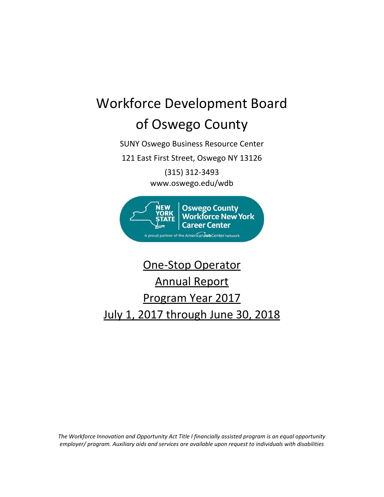# Workforce Development Board of Oswego County

SUNY Oswego Business Resource Center

121 East First Street, Oswego NY 13126

(315) 312‐3493 www.oswego.edu/wdb



## One‐Stop Operator Annual Report Program Year 2017 July 1, 2017 through June 30, 2018

*The Workforce Innovation and Opportunity Act Title I financially assisted program is an equal opportunity employer/ program. Auxiliary aids and services are available upon request to individuals with disabilities*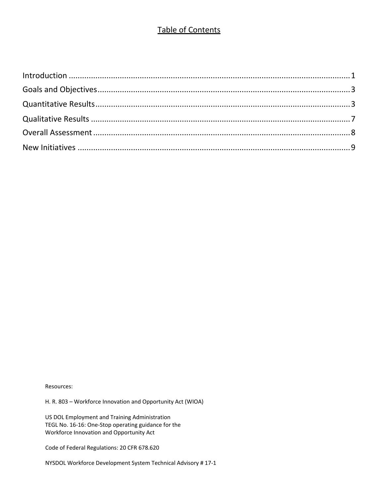## Table of Contents

Resources:

H. R. 803 – Workforce Innovation and Opportunity Act (WIOA)

US DOL Employment and Training Administration TEGL No. 16‐16: One‐Stop operating guidance for the Workforce Innovation and Opportunity Act

Code of Federal Regulations: 20 CFR 678.620

NYSDOL Workforce Development System Technical Advisory # 17‐1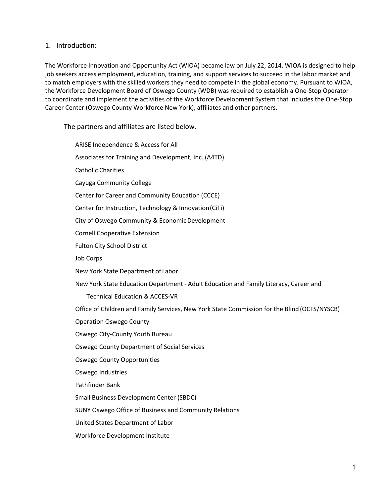#### 1. Introduction:

The Workforce Innovation and Opportunity Act (WIOA) became law on July 22, 2014. WIOA is designed to help job seekers access employment, education, training, and support services to succeed in the labor market and to match employers with the skilled workers they need to compete in the global economy. Pursuant to WIOA, the Workforce Development Board of Oswego County (WDB) was required to establish a One‐Stop Operator to coordinate and implement the activities of the Workforce Development System that includes the One‐Stop Career Center (Oswego County Workforce New York), affiliates and other partners.

The partners and affiliates are listed below.

ARISE Independence & Access for All Associates for Training and Development, Inc. (A4TD) Catholic Charities Cayuga Community College Center for Career and Community Education (CCCE) Center for Instruction, Technology & Innovation(CiTi) City of Oswego Community & EconomicDevelopment Cornell Cooperative Extension Fulton City School District Job Corps New York State Department of Labor New York State Education Department ‐ Adult Education and Family Literacy, Career and Technical Education & ACCES‐VR Office of Children and Family Services, New York State Commission for the Blind (OCFS/NYSCB) Operation Oswego County Oswego City‐County Youth Bureau Oswego County Department of Social Services Oswego County Opportunities Oswego Industries Pathfinder Bank Small Business Development Center (SBDC) SUNY Oswego Office of Business and Community Relations United States Department of Labor Workforce Development Institute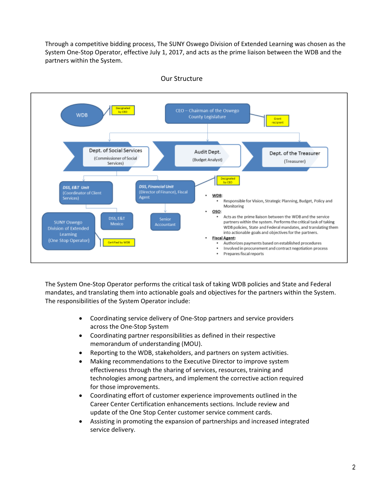Through a competitive bidding process, The SUNY Oswego Division of Extended Learning was chosen as the System One‐Stop Operator, effective July 1, 2017, and acts as the prime liaison between the WDB and the partners within the System.



#### Our Structure

The System One‐Stop Operator performs the critical task of taking WDB policies and State and Federal mandates, and translating them into actionable goals and objectives for the partners within the System. The responsibilities of the System Operator include:

- Coordinating service delivery of One‐Stop partners and service providers across the One‐Stop System
- Coordinating partner responsibilities as defined in their respective memorandum of understanding (MOU).
- Reporting to the WDB, stakeholders, and partners on system activities.
- Making recommendations to the Executive Director to improve system effectiveness through the sharing of services, resources, training and technologies among partners, and implement the corrective action required for those improvements.
- Coordinating effort of customer experience improvements outlined in the Career Center Certification enhancements sections. Include review and update of the One Stop Center customer service comment cards.
- Assisting in promoting the expansion of partnerships and increased integrated service delivery.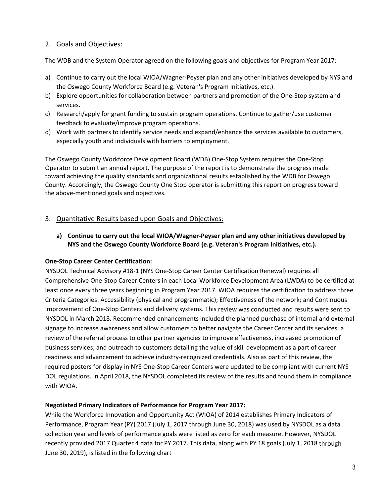### 2. Goals and Objectives:

The WDB and the System Operator agreed on the following goals and objectives for Program Year 2017:

- a) Continue to carry out the local WIOA/Wagner‐Peyser plan and any other initiatives developed by NYS and the Oswego County Workforce Board (e.g. Veteran's Program Initiatives, etc.).
- b) Explore opportunities for collaboration between partners and promotion of the One‐Stop system and services.
- c) Research/apply for grant funding to sustain program operations. Continue to gather/use customer feedback to evaluate/improve program operations.
- d) Work with partners to identify service needs and expand/enhance the services available to customers, especially youth and individuals with barriers to employment.

The Oswego County Workforce Development Board (WDB) One‐Stop System requires the One‐Stop Operator to submit an annual report. The purpose of the report is to demonstrate the progress made toward achieving the quality standards and organizational results established by the WDB for Oswego County. Accordingly, the Oswego County One Stop operator is submitting this report on progress toward the above‐mentioned goals and objectives.

## 3. Quantitative Results based upon Goals and Objectives:

**a) Continue to carry out the local WIOA/Wagner‐Peyser plan and any other initiatives developed by NYS and the Oswego County Workforce Board (e.g. Veteran's Program Initiatives, etc.).**

#### **One‐Stop Career Center Certification:**

NYSDOL Technical Advisory #18‐1 (NYS One‐Stop Career Center Certification Renewal) requires all Comprehensive One‐Stop Career Centers in each Local Workforce Development Area (LWDA) to be certified at least once every three years beginning in Program Year 2017. WIOA requires the certification to address three Criteria Categories: Accessibility (physical and programmatic); Effectiveness of the network; and Continuous Improvement of One‐Stop Centers and delivery systems. This review was conducted and results were sent to NYSDOL in March 2018. Recommended enhancements included the planned purchase of internal and external signage to increase awareness and allow customers to better navigate the Career Center and its services, a review of the referral process to other partner agencies to improve effectiveness, increased promotion of business services; and outreach to customers detailing the value of skill development as a part of career readiness and advancement to achieve industry‐recognized credentials. Also as part of this review, the required posters for display in NYS One‐Stop Career Centers were updated to be compliant with current NYS DOL regulations. In April 2018, the NYSDOL completed its review of the results and found them in compliance with WIOA.

#### **Negotiated Primary Indicators of Performance for Program Year 2017:**

While the Workforce Innovation and Opportunity Act (WIOA) of 2014 establishes Primary Indicators of Performance, Program Year (PY) 2017 (July 1, 2017 through June 30, 2018) was used by NYSDOL as a data collection year and levels of performance goals were listed as zero for each measure. However, NYSDOL recently provided 2017 Quarter 4 data for PY 2017. This data, along with PY 18 goals (July 1, 2018 through June 30, 2019), is listed in the following chart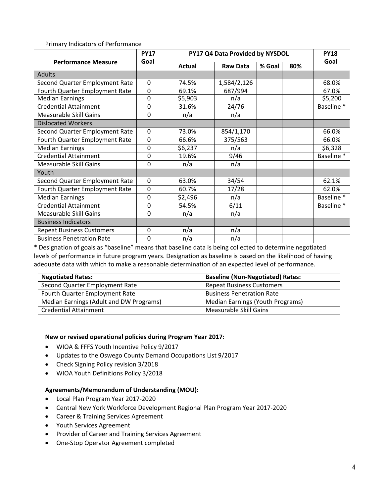Primary Indicators of Performance

|                                  | <b>PY17</b>      | PY17 Q4 Data Provided by NYSDOL |                 |        |     |            |  |
|----------------------------------|------------------|---------------------------------|-----------------|--------|-----|------------|--|
| <b>Performance Measure</b>       | Goal             | Actual                          | <b>Raw Data</b> | % Goal | 80% | Goal       |  |
| <b>Adults</b>                    |                  |                                 |                 |        |     |            |  |
| Second Quarter Employment Rate   | $\mathbf 0$      | 74.5%                           | 1,584/2,126     |        |     | 68.0%      |  |
| Fourth Quarter Employment Rate   | 0                | 69.1%                           | 687/994         |        |     | 67.0%      |  |
| <b>Median Earnings</b>           | 0                | \$5,903                         | n/a             |        |     | \$5,200    |  |
| <b>Credential Attainment</b>     | 0                | 31.6%                           | 24/76           |        |     | Baseline * |  |
| <b>Measurable Skill Gains</b>    | $\mathbf 0$      | n/a                             | n/a             |        |     |            |  |
| <b>Dislocated Workers</b>        |                  |                                 |                 |        |     |            |  |
| Second Quarter Employment Rate   | $\mathbf 0$      | 73.0%                           | 854/1,170       |        |     | 66.0%      |  |
| Fourth Quarter Employment Rate   | 0                | 66.6%                           | 375/563         |        |     | 66.0%      |  |
| <b>Median Earnings</b>           | 0                | \$6,237                         | n/a             |        |     | \$6,328    |  |
| <b>Credential Attainment</b>     | 0                | 19.6%                           | 9/46            |        |     | Baseline * |  |
| <b>Measurable Skill Gains</b>    | 0                | n/a                             | n/a             |        |     |            |  |
| Youth                            |                  |                                 |                 |        |     |            |  |
| Second Quarter Employment Rate   | $\boldsymbol{0}$ | 63.0%                           | 34/54           |        |     | 62.1%      |  |
| Fourth Quarter Employment Rate   | 0                | 60.7%                           | 17/28           |        |     | 62.0%      |  |
| <b>Median Earnings</b>           | 0                | \$2,496                         | n/a             |        |     | Baseline * |  |
| Credential Attainment            | 0                | 54.5%                           | 6/11            |        |     | Baseline * |  |
| <b>Measurable Skill Gains</b>    | $\mathbf 0$      | n/a                             | n/a             |        |     |            |  |
| <b>Business Indicators</b>       |                  |                                 |                 |        |     |            |  |
| <b>Repeat Business Customers</b> | $\mathbf 0$      | n/a                             | n/a             |        |     |            |  |
| <b>Business Penetration Rate</b> | 0                | n/a                             | n/a             |        |     |            |  |

\* Designation of goals as "baseline" means that baseline data is being collected to determine negotiated levels of performance in future program years. Designation as baseline is based on the likelihood of having adequate data with which to make a reasonable determination of an expected level of performance.

| <b>Negotiated Rates:</b>                | <b>Baseline (Non-Negotiated) Rates:</b> |
|-----------------------------------------|-----------------------------------------|
| Second Quarter Employment Rate          | <b>Repeat Business Customers</b>        |
| Fourth Quarter Employment Rate          | <b>Business Penetration Rate</b>        |
| Median Earnings (Adult and DW Programs) | Median Earnings (Youth Programs)        |
| <b>Credential Attainment</b>            | Measurable Skill Gains                  |

#### **New or revised operational policies during Program Year 2017:**

- WIOA & FFFS Youth Incentive Policy 9/2017
- Updates to the Oswego County Demand Occupations List 9/2017
- Check Signing Policy revision 3/2018
- WIOA Youth Definitions Policy 3/2018

#### **Agreements/Memorandum of Understanding (MOU):**

- Local Plan Program Year 2017‐2020
- Central New York Workforce Development Regional Plan Program Year 2017‐2020
- Career & Training Services Agreement
- Youth Services Agreement
- Provider of Career and Training Services Agreement
- One‐Stop Operator Agreement completed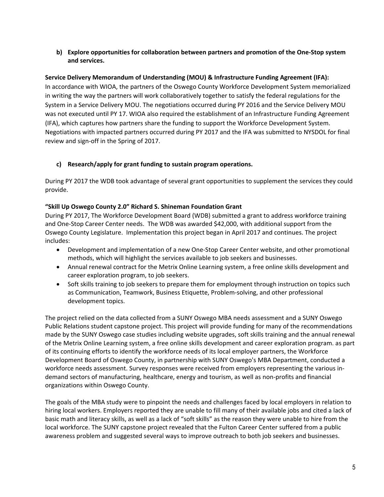#### **b) Explore opportunities for collaboration between partners and promotion of the One‐Stop system and services.**

#### **Service Delivery Memorandum of Understanding (MOU) & Infrastructure Funding Agreement (IFA):**

In accordance with WIOA, the partners of the Oswego County Workforce Development System memorialized in writing the way the partners will work collaboratively together to satisfy the federal regulations for the System in a Service Delivery MOU. The negotiations occurred during PY 2016 and the Service Delivery MOU was not executed until PY 17. WIOA also required the establishment of an Infrastructure Funding Agreement (IFA), which captures how partners share the funding to support the Workforce Development System. Negotiations with impacted partners occurred during PY 2017 and the IFA was submitted to NYSDOL for final review and sign‐off in the Spring of 2017.

#### **c) Research/apply for grant funding to sustain program operations.**

During PY 2017 the WDB took advantage of several grant opportunities to supplement the services they could provide.

#### **"Skill Up Oswego County 2.0" Richard S. Shineman Foundation Grant**

During PY 2017, The Workforce Development Board (WDB) submitted a grant to address workforce training and One‐Stop Career Center needs. The WDB was awarded \$42,000, with additional support from the Oswego County Legislature. Implementation this project began in April 2017 and continues. The project includes:

- Development and implementation of a new One-Stop Career Center website, and other promotional methods, which will highlight the services available to job seekers and businesses.
- Annual renewal contract for the Metrix Online Learning system, a free online skills development and career exploration program, to job seekers.
- Soft skills training to job seekers to prepare them for employment through instruction on topics such as Communication, Teamwork, Business Etiquette, Problem‐solving, and other professional development topics.

The project relied on the data collected from a SUNY Oswego MBA needs assessment and a SUNY Oswego Public Relations student capstone project. This project will provide funding for many of the recommendations made by the SUNY Oswego case studies including website upgrades, soft skills training and the annual renewal of the Metrix Online Learning system, a free online skills development and career exploration program. as part of its continuing efforts to identify the workforce needs of its local employer partners, the Workforce Development Board of Oswego County, in partnership with SUNY Oswego's MBA Department, conducted a workforce needs assessment. Survey responses were received from employers representing the various in‐ demand sectors of manufacturing, healthcare, energy and tourism, as well as non-profits and financial organizations within Oswego County.

The goals of the MBA study were to pinpoint the needs and challenges faced by local employers in relation to hiring local workers. Employers reported they are unable to fill many of their available jobs and cited a lack of basic math and literacy skills, as well as a lack of "soft skills" as the reason they were unable to hire from the local workforce. The SUNY capstone project revealed that the Fulton Career Center suffered from a public awareness problem and suggested several ways to improve outreach to both job seekers and businesses.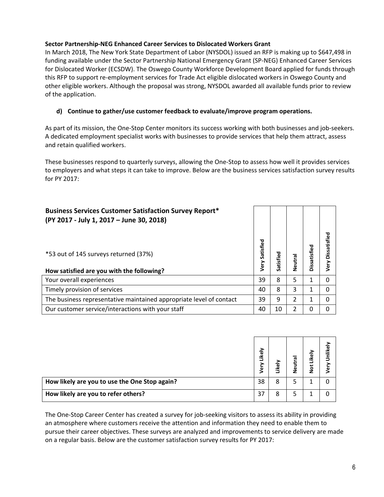#### **Sector Partnership‐NEG Enhanced Career Services to Dislocated Workers Grant**

In March 2018, The New York State Department of Labor (NYSDOL) issued an RFP is making up to \$647,498 in funding available under the Sector Partnership National Emergency Grant (SP‐NEG) Enhanced Career Services for Dislocated Worker (ECSDW). The Oswego County Workforce Development Board applied for funds through this RFP to support re‐employment services for Trade Act eligible dislocated workers in Oswego County and other eligible workers. Although the proposal was strong, NYSDOL awarded all available funds prior to review of the application.

#### **d) Continue to gather/use customer feedback to evaluate/improve program operations.**

As part of its mission, the One‐Stop Center monitors its success working with both businesses and job‐seekers. A dedicated employment specialist works with businesses to provide services that help them attract, assess and retain qualified workers.

These businesses respond to quarterly surveys, allowing the One‐Stop to assess how well it provides services to employers and what steps it can take to improve. Below are the business services satisfaction survey results for PY 2017:

| <b>Business Services Customer Satisfaction Survey Report*</b><br>(PY 2017 - July 1, 2017 - June 30, 2018) |                   |           |         |              |                      |
|-----------------------------------------------------------------------------------------------------------|-------------------|-----------|---------|--------------|----------------------|
| *53 out of 145 surveys returned (37%)<br>How satisfied are you with the following?                        | Satisfied<br>Very | Satisfied | Neutral | Dissatisfied | Dissatisfied<br>Very |
| Your overall experiences                                                                                  | 39                | 8         | 5       | 1            | 0                    |
| Timely provision of services                                                                              | 40                | 8         | 3       | 1            | 0                    |
| The business representative maintained appropriate level of contact                                       | 39                | 9         | 2       | 1            | 0                    |
| Our customer service/interactions with your staff                                                         | 40                | 10        | 2       | 0            | 0                    |

|                                               | Likely<br>৽ | Likel | Neutral | Not Likely | Unlikel<br>€ |
|-----------------------------------------------|-------------|-------|---------|------------|--------------|
| How likely are you to use the One Stop again? | 38          | 8     |         |            |              |
| How likely are you to refer others?           | 37          | 8     | כ       |            |              |

The One-Stop Career Center has created a survey for job-seeking visitors to assess its ability in providing an atmosphere where customers receive the attention and information they need to enable them to pursue their career objectives. These surveys are analyzed and improvements to service delivery are made on a regular basis. Below are the customer satisfaction survey results for PY 2017: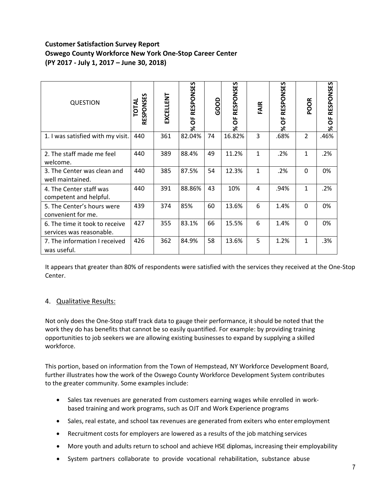## **Customer Satisfaction Survey Report Oswego County Workforce New York One‐Stop Career Center (PY 2017 ‐ July 1, 2017 – June 30, 2018)**

| <b>QUESTION</b>                                            | RESPONSES<br><b>TOTAL</b> | EXCELLENT | RESPONSES<br>ŏ<br>گ< | <b>GOOD</b> | RESPONSES<br>ŏ<br>৯ৎ | FAIR         | RESPONSES<br>ŏ<br>৯ৎ | POOR           | <u>ទា</u><br><b>RESPONS</b><br>ŏ<br>ৼ |
|------------------------------------------------------------|---------------------------|-----------|----------------------|-------------|----------------------|--------------|----------------------|----------------|---------------------------------------|
| 1. I was satisfied with my visit.                          | 440                       | 361       | 82.04%               | 74          | 16.82%               | 3            | .68%                 | $\overline{2}$ | .46%                                  |
| 2. The staff made me feel<br>welcome.                      | 440                       | 389       | 88.4%                | 49          | 11.2%                | 1            | .2%                  | 1              | .2%                                   |
| 3. The Center was clean and<br>well maintained.            | 440                       | 385       | 87.5%                | 54          | 12.3%                | $\mathbf{1}$ | .2%                  | $\Omega$       | 0%                                    |
| 4. The Center staff was<br>competent and helpful.          | 440                       | 391       | 88.86%               | 43          | 10%                  | 4            | .94%                 | 1              | .2%                                   |
| 5. The Center's hours were<br>convenient for me.           | 439                       | 374       | 85%                  | 60          | 13.6%                | 6            | 1.4%                 | $\Omega$       | 0%                                    |
| 6. The time it took to receive<br>services was reasonable. | 427                       | 355       | 83.1%                | 66          | 15.5%                | 6            | 1.4%                 | $\Omega$       | 0%                                    |
| 7. The information I received<br>was useful.               | 426                       | 362       | 84.9%                | 58          | 13.6%                | 5            | 1.2%                 | 1              | .3%                                   |

It appears that greater than 80% of respondents were satisfied with the services they received at the One‐Stop Center.

#### 4. Qualitative Results:

Not only does the One‐Stop staff track data to gauge their performance, it should be noted that the work they do has benefits that cannot be so easily quantified. For example: by providing training opportunities to job seekers we are allowing existing businesses to expand by supplying a skilled workforce.

This portion, based on information from the Town of Hempstead, NY Workforce Development Board, further illustrates how the work of the Oswego County Workforce Development System contributes to the greater community. Some examples include:

- Sales tax revenues are generated from customers earning wages while enrolled in workbased training and work programs, such as OJT and Work Experience programs
- Sales, real estate, and school tax revenues are generated from exiters who enter employment
- Recruitment costs for employers are lowered as a results of the job matching services
- More youth and adults return to school and achieve HSE diplomas, increasing their employability
- System partners collaborate to provide vocational rehabilitation, substance abuse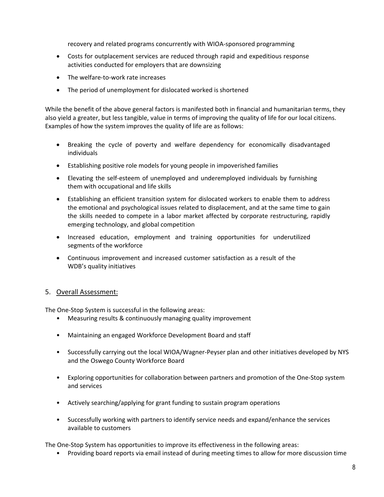recovery and related programs concurrently with WIOA‐sponsored programming

- Costs for outplacement services are reduced through rapid and expeditious response activities conducted for employers that are downsizing
- The welfare-to-work rate increases
- The period of unemployment for dislocated worked is shortened

While the benefit of the above general factors is manifested both in financial and humanitarian terms, they also yield a greater, but less tangible, value in terms of improving the quality of life for our local citizens. Examples of how the system improves the quality of life are as follows:

- Breaking the cycle of poverty and welfare dependency for economically disadvantaged individuals
- Establishing positive role models for young people in impoverished families
- Elevating the self‐esteem of unemployed and underemployed individuals by furnishing them with occupational and life skills
- Establishing an efficient transition system for dislocated workers to enable them to address the emotional and psychological issues related to displacement, and at the same time to gain the skills needed to compete in a labor market affected by corporate restructuring, rapidly emerging technology, and global competition
- Increased education, employment and training opportunities for underutilized segments of the workforce
- Continuous improvement and increased customer satisfaction as a result of the WDB's quality initiatives

#### 5. Overall Assessment:

The One‐Stop System is successful in the following areas:

- Measuring results & continuously managing quality improvement
- Maintaining an engaged Workforce Development Board and staff
- Successfully carrying out the local WIOA/Wagner-Peyser plan and other initiatives developed by NYS and the Oswego County Workforce Board
- Exploring opportunities for collaboration between partners and promotion of the One‐Stop system and services
- Actively searching/applying for grant funding to sustain program operations
- Successfully working with partners to identify service needs and expand/enhance the services available to customers

The One‐Stop System has opportunities to improve its effectiveness in the following areas:

• Providing board reports via email instead of during meeting times to allow for more discussion time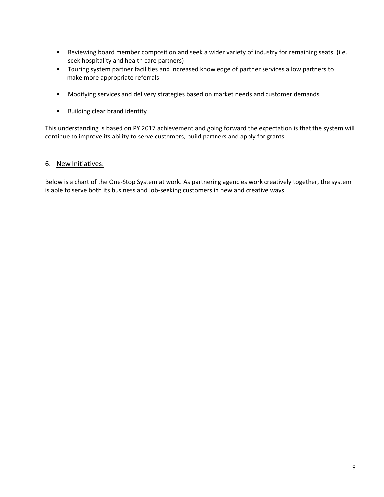- Reviewing board member composition and seek a wider variety of industry for remaining seats. (i.e. seek hospitality and health care partners)
- Touring system partner facilities and increased knowledge of partner services allow partners to make more appropriate referrals
- Modifying services and delivery strategies based on market needs and customer demands
- Building clear brand identity

This understanding is based on PY 2017 achievement and going forward the expectation is that the system will continue to improve its ability to serve customers, build partners and apply for grants.

#### 6. New Initiatives:

Below is a chart of the One‐Stop System at work. As partnering agencies work creatively together, the system is able to serve both its business and job-seeking customers in new and creative ways.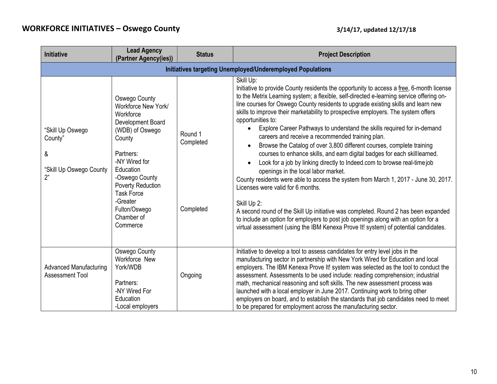| <b>Initiative</b>                                                 | <b>Lead Agency</b><br>(Partner Agency(ies))                                                                                                                                                                                                                              | <b>Status</b>                     | <b>Project Description</b>                                                                                                                                                                                                                                                                                                                                                                                                                                                                                                                                                                                                                                                                                                                                                                                                                                                                                                                                                                                                                                                                                                                                                                                             |
|-------------------------------------------------------------------|--------------------------------------------------------------------------------------------------------------------------------------------------------------------------------------------------------------------------------------------------------------------------|-----------------------------------|------------------------------------------------------------------------------------------------------------------------------------------------------------------------------------------------------------------------------------------------------------------------------------------------------------------------------------------------------------------------------------------------------------------------------------------------------------------------------------------------------------------------------------------------------------------------------------------------------------------------------------------------------------------------------------------------------------------------------------------------------------------------------------------------------------------------------------------------------------------------------------------------------------------------------------------------------------------------------------------------------------------------------------------------------------------------------------------------------------------------------------------------------------------------------------------------------------------------|
|                                                                   |                                                                                                                                                                                                                                                                          |                                   | Initiatives targeting Unemployed/Underemployed Populations                                                                                                                                                                                                                                                                                                                                                                                                                                                                                                                                                                                                                                                                                                                                                                                                                                                                                                                                                                                                                                                                                                                                                             |
| "Skill Up Oswego<br>County"<br>&<br>"Skill Up Oswego County<br>2" | Oswego County<br>Workforce New York/<br>Workforce<br>Development Board<br>(WDB) of Oswego<br>County<br>Partners:<br>-NY Wired for<br>Education<br>-Oswego County<br><b>Poverty Reduction</b><br><b>Task Force</b><br>-Greater<br>Fulton/Oswego<br>Chamber of<br>Commerce | Round 1<br>Completed<br>Completed | Skill Up:<br>Initiative to provide County residents the opportunity to access a free, 6-month license<br>to the Metrix Learning system; a flexible, self-directed e-learning service offering on-<br>line courses for Oswego County residents to upgrade existing skills and learn new<br>skills to improve their marketability to prospective employers. The system offers<br>opportunities to:<br>Explore Career Pathways to understand the skills required for in-demand<br>careers and receive a recommended training plan.<br>Browse the Catalog of over 3,800 different courses, complete training<br>courses to enhance skills, and earn digital badges for each skilllearned.<br>Look for a job by linking directly to Indeed.com to browse real-time job<br>openings in the local labor market.<br>County residents were able to access the system from March 1, 2017 - June 30, 2017.<br>Licenses were valid for 6 months.<br>Skill Up 2:<br>A second round of the Skill Up initiative was completed. Round 2 has been expanded<br>to include an option for employers to post job openings along with an option for a<br>virtual assessment (using the IBM Kenexa Prove It! system) of potential candidates. |
| <b>Advanced Manufacturing</b><br><b>Assessment Tool</b>           | Oswego County<br>Workforce New<br>York/WDB<br>Partners:<br>-NY Wired For                                                                                                                                                                                                 | Ongoing                           | Initiative to develop a tool to assess candidates for entry level jobs in the<br>manufacturing sector in partnership with New York Wired for Education and local<br>employers. The IBM Kenexa Prove It! system was selected as the tool to conduct the<br>assessment. Assessments to be used include: reading comprehension; industrial<br>math, mechanical reasoning and soft skills. The new assessment process was<br>launched with a local employer in June 2017. Continuing work to bring other                                                                                                                                                                                                                                                                                                                                                                                                                                                                                                                                                                                                                                                                                                                   |
|                                                                   | Education<br>-Local employers                                                                                                                                                                                                                                            |                                   | employers on board, and to establish the standards that job candidates need to meet<br>to be prepared for employment across the manufacturing sector.                                                                                                                                                                                                                                                                                                                                                                                                                                                                                                                                                                                                                                                                                                                                                                                                                                                                                                                                                                                                                                                                  |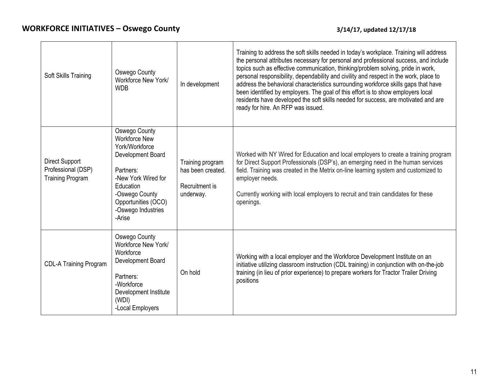| Soft Skills Training                                                   | Oswego County<br>Workforce New York/<br><b>WDB</b>                                                                                                                                                     | In development                                                       | Training to address the soft skills needed in today's workplace. Training will address<br>the personal attributes necessary for personal and professional success, and include<br>topics such as effective communication, thinking/problem solving, pride in work,<br>personal responsibility, dependability and civility and respect in the work, place to<br>address the behavioral characteristics surrounding workforce skills gaps that have<br>been identified by employers. The goal of this effort is to show employers local<br>residents have developed the soft skills needed for success, are motivated and are<br>ready for hire. An RFP was issued. |
|------------------------------------------------------------------------|--------------------------------------------------------------------------------------------------------------------------------------------------------------------------------------------------------|----------------------------------------------------------------------|-------------------------------------------------------------------------------------------------------------------------------------------------------------------------------------------------------------------------------------------------------------------------------------------------------------------------------------------------------------------------------------------------------------------------------------------------------------------------------------------------------------------------------------------------------------------------------------------------------------------------------------------------------------------|
| <b>Direct Support</b><br>Professional (DSP)<br><b>Training Program</b> | Oswego County<br><b>Workforce New</b><br>York/Workforce<br>Development Board<br>Partners:<br>-New York Wired for<br>Education<br>-Oswego County<br>Opportunities (OCO)<br>-Oswego Industries<br>-Arise | Training program<br>has been created.<br>Recruitment is<br>underway. | Worked with NY Wired for Education and local employers to create a training program<br>for Direct Support Professionals (DSP's), an emerging need in the human services<br>field. Training was created in the Metrix on-line learning system and customized to<br>employer needs.<br>Currently working with local employers to recruit and train candidates for these<br>openings.                                                                                                                                                                                                                                                                                |
| <b>CDL-A Training Program</b>                                          | Oswego County<br>Workforce New York/<br>Workforce<br>Development Board<br>Partners:<br>-Workforce<br>Development Institute<br>(WDI)<br>-Local Employers                                                | On hold                                                              | Working with a local employer and the Workforce Development Institute on an<br>initiative utilizing classroom instruction (CDL training) in conjunction with on-the-job<br>training (in lieu of prior experience) to prepare workers for Tractor Trailer Driving<br>positions                                                                                                                                                                                                                                                                                                                                                                                     |

 $\overline{\phantom{a}}$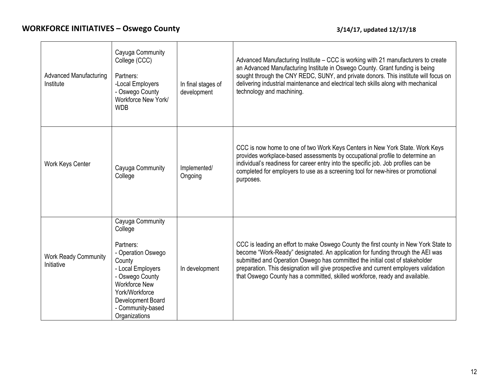| <b>Advanced Manufacturing</b><br>Institute | Cayuga Community<br>College (CCC)<br>Partners:<br>-Local Employers<br>- Oswego County<br>Workforce New York/<br><b>WDB</b>                                                                                            | In final stages of<br>development | Advanced Manufacturing Institute – CCC is working with 21 manufacturers to create<br>an Advanced Manufacturing Institute in Oswego County. Grant funding is being<br>sought through the CNY REDC, SUNY, and private donors. This institute will focus on<br>delivering industrial maintenance and electrical tech skills along with mechanical<br>technology and machining.                                                   |
|--------------------------------------------|-----------------------------------------------------------------------------------------------------------------------------------------------------------------------------------------------------------------------|-----------------------------------|-------------------------------------------------------------------------------------------------------------------------------------------------------------------------------------------------------------------------------------------------------------------------------------------------------------------------------------------------------------------------------------------------------------------------------|
| Work Keys Center                           | Cayuga Community<br>College                                                                                                                                                                                           | Implemented/<br>Ongoing           | CCC is now home to one of two Work Keys Centers in New York State. Work Keys<br>provides workplace-based assessments by occupational profile to determine an<br>individual's readiness for career entry into the specific job. Job profiles can be<br>completed for employers to use as a screening tool for new-hires or promotional<br>purposes.                                                                            |
| <b>Work Ready Community</b><br>Initiative  | Cayuga Community<br>College<br>Partners:<br>- Operation Oswego<br>County<br>- Local Employers<br>- Oswego County<br><b>Workforce New</b><br>York/Workforce<br>Development Board<br>- Community-based<br>Organizations | In development                    | CCC is leading an effort to make Oswego County the first county in New York State to<br>become "Work-Ready" designated. An application for funding through the AEI was<br>submitted and Operation Oswego has committed the initial cost of stakeholder<br>preparation. This designation will give prospective and current employers validation<br>that Oswego County has a committed, skilled workforce, ready and available. |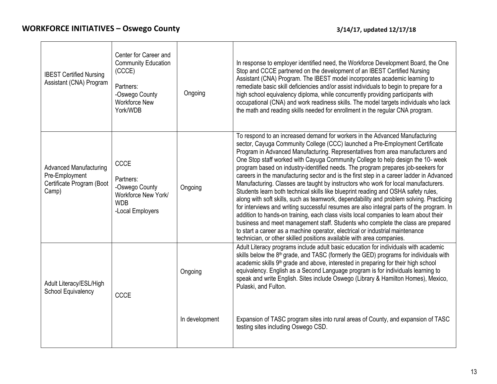$\mathbf{I}$ 

 $\Gamma$ 

| <b>IBEST Certified Nursing</b><br>Assistant (CNA) Program                             | Center for Career and<br><b>Community Education</b><br>(CCCE)<br>Partners:<br>-Oswego County<br><b>Workforce New</b><br>York/WDB | Ongoing        | In response to employer identified need, the Workforce Development Board, the One<br>Stop and CCCE partnered on the development of an IBEST Certified Nursing<br>Assistant (CNA) Program. The IBEST model incorporates academic learning to<br>remediate basic skill deficiencies and/or assist individuals to begin to prepare for a<br>high school equivalency diploma, while concurrently providing participants with<br>occupational (CNA) and work readiness skills. The model targets individuals who lack<br>the math and reading skills needed for enrollment in the regular CNA program.                                                                                                                                                                                                                                                                                                                                                                                                                                                                                                                                                                                                                          |
|---------------------------------------------------------------------------------------|----------------------------------------------------------------------------------------------------------------------------------|----------------|----------------------------------------------------------------------------------------------------------------------------------------------------------------------------------------------------------------------------------------------------------------------------------------------------------------------------------------------------------------------------------------------------------------------------------------------------------------------------------------------------------------------------------------------------------------------------------------------------------------------------------------------------------------------------------------------------------------------------------------------------------------------------------------------------------------------------------------------------------------------------------------------------------------------------------------------------------------------------------------------------------------------------------------------------------------------------------------------------------------------------------------------------------------------------------------------------------------------------|
| <b>Advanced Manufacturing</b><br>Pre-Employment<br>Certificate Program (Boot<br>Camp) | <b>CCCE</b><br>Partners:<br>-Oswego County<br>Workforce New York/<br><b>WDB</b><br>-Local Employers                              | Ongoing        | To respond to an increased demand for workers in the Advanced Manufacturing<br>sector, Cayuga Community College (CCC) launched a Pre-Employment Certificate<br>Program in Advanced Manufacturing. Representatives from area manufacturers and<br>One Stop staff worked with Cayuga Community College to help design the 10- week<br>program based on industry-identified needs. The program prepares job-seekers for<br>careers in the manufacturing sector and is the first step in a career ladder in Advanced<br>Manufacturing. Classes are taught by instructors who work for local manufacturers.<br>Students learn both technical skills like blueprint reading and OSHA safety rules,<br>along with soft skills, such as teamwork, dependability and problem solving. Practicing<br>for interviews and writing successful resumes are also integral parts of the program. In<br>addition to hands-on training, each class visits local companies to learn about their<br>business and meet management staff. Students who complete the class are prepared<br>to start a career as a machine operator, electrical or industrial maintenance<br>technician, or other skilled positions available with area companies. |
| Adult Literacy/ESL/High<br>School Equivalency                                         | <b>CCCE</b>                                                                                                                      | Ongoing        | Adult Literacy programs include adult basic education for individuals with academic<br>skills below the 8 <sup>th</sup> grade, and TASC (formerly the GED) programs for individuals with<br>academic skills 9 <sup>th</sup> grade and above, interested in preparing for their high school<br>equivalency. English as a Second Language program is for individuals learning to<br>speak and write English. Sites include Oswego (Library & Hamilton Homes), Mexico,<br>Pulaski, and Fulton.                                                                                                                                                                                                                                                                                                                                                                                                                                                                                                                                                                                                                                                                                                                                |
|                                                                                       |                                                                                                                                  | In development | Expansion of TASC program sites into rural areas of County, and expansion of TASC<br>testing sites including Oswego CSD.                                                                                                                                                                                                                                                                                                                                                                                                                                                                                                                                                                                                                                                                                                                                                                                                                                                                                                                                                                                                                                                                                                   |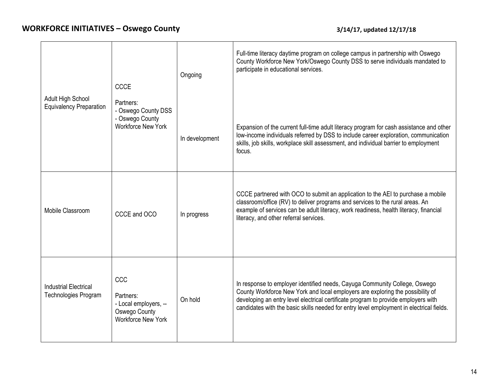|                                                      | <b>CCCE</b>                                                                                    | Ongoing        | Full-time literacy daytime program on college campus in partnership with Oswego<br>County Workforce New York/Oswego County DSS to serve individuals mandated to<br>participate in educational services.                                                                                                                                        |
|------------------------------------------------------|------------------------------------------------------------------------------------------------|----------------|------------------------------------------------------------------------------------------------------------------------------------------------------------------------------------------------------------------------------------------------------------------------------------------------------------------------------------------------|
| Adult High School<br><b>Equivalency Preparation</b>  | Partners:<br>- Oswego County DSS<br>- Oswego County<br><b>Workforce New York</b>               | In development | Expansion of the current full-time adult literacy program for cash assistance and other<br>low-income individuals referred by DSS to include career exploration, communication<br>skills, job skills, workplace skill assessment, and individual barrier to employment<br>focus.                                                               |
| Mobile Classroom                                     | CCCE and OCO                                                                                   | In progress    | CCCE partnered with OCO to submit an application to the AEI to purchase a mobile<br>classroom/office (RV) to deliver programs and services to the rural areas. An<br>example of services can be adult literacy, work readiness, health literacy, financial<br>literacy, and other referral services.                                           |
| <b>Industrial Electrical</b><br>Technologies Program | CCC<br>Partners:<br>- Local employers, --<br><b>Oswego County</b><br><b>Workforce New York</b> | On hold        | In response to employer identified needs, Cayuga Community College, Oswego<br>County Workforce New York and local employers are exploring the possibility of<br>developing an entry level electrical certificate program to provide employers with<br>candidates with the basic skills needed for entry level employment in electrical fields. |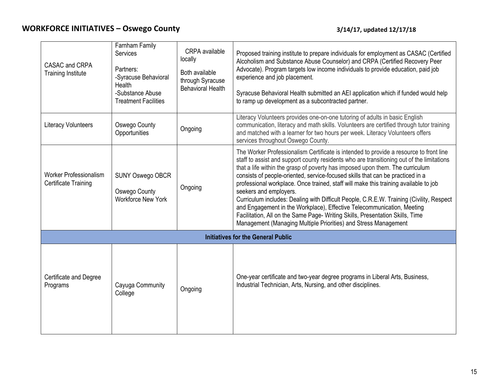| CASAC and CRPA<br><b>Training Institute</b>                  | Farnham Family<br><b>Services</b><br>Partners:<br>-Syracuse Behavioral<br>Health<br>-Substance Abuse<br><b>Treatment Facilities</b> | <b>CRPA</b> available<br>locally<br>Both available<br>through Syracuse<br><b>Behavioral Health</b> | Proposed training institute to prepare individuals for employment as CASAC (Certified<br>Alcoholism and Substance Abuse Counselor) and CRPA (Certified Recovery Peer<br>Advocate). Program targets low income individuals to provide education, paid job<br>experience and job placement.<br>Syracuse Behavioral Health submitted an AEI application which if funded would help<br>to ramp up development as a subcontracted partner.                                                                                                                                                                                                                                                                                                                                                              |
|--------------------------------------------------------------|-------------------------------------------------------------------------------------------------------------------------------------|----------------------------------------------------------------------------------------------------|----------------------------------------------------------------------------------------------------------------------------------------------------------------------------------------------------------------------------------------------------------------------------------------------------------------------------------------------------------------------------------------------------------------------------------------------------------------------------------------------------------------------------------------------------------------------------------------------------------------------------------------------------------------------------------------------------------------------------------------------------------------------------------------------------|
| <b>Literacy Volunteers</b>                                   | Oswego County<br>Opportunities                                                                                                      | Ongoing                                                                                            | Literacy Volunteers provides one-on-one tutoring of adults in basic English<br>communication, literacy and math skills. Volunteers are certified through tutor training<br>and matched with a learner for two hours per week. Literacy Volunteers offers<br>services throughout Oswego County.                                                                                                                                                                                                                                                                                                                                                                                                                                                                                                     |
| <b>Worker Professionalism</b><br><b>Certificate Training</b> | <b>SUNY Oswego OBCR</b><br>Oswego County<br><b>Workforce New York</b>                                                               | Ongoing                                                                                            | The Worker Professionalism Certificate is intended to provide a resource to front line<br>staff to assist and support county residents who are transitioning out of the limitations<br>that a life within the grasp of poverty has imposed upon them. The curriculum<br>consists of people-oriented, service-focused skills that can be practiced in a<br>professional workplace. Once trained, staff will make this training available to job<br>seekers and employers.<br>Curriculum includes: Dealing with Difficult People, C.R.E.W. Training (Civility, Respect<br>and Engagement in the Workplace), Effective Telecommunication, Meeting<br>Facilitation, All on the Same Page- Writing Skills, Presentation Skills, Time<br>Management (Managing Multiple Priorities) and Stress Management |
|                                                              |                                                                                                                                     |                                                                                                    | <b>Initiatives for the General Public</b>                                                                                                                                                                                                                                                                                                                                                                                                                                                                                                                                                                                                                                                                                                                                                          |
| Certificate and Degree<br>Programs                           | Cayuga Community<br>College                                                                                                         | Ongoing                                                                                            | One-year certificate and two-year degree programs in Liberal Arts, Business,<br>Industrial Technician, Arts, Nursing, and other disciplines.                                                                                                                                                                                                                                                                                                                                                                                                                                                                                                                                                                                                                                                       |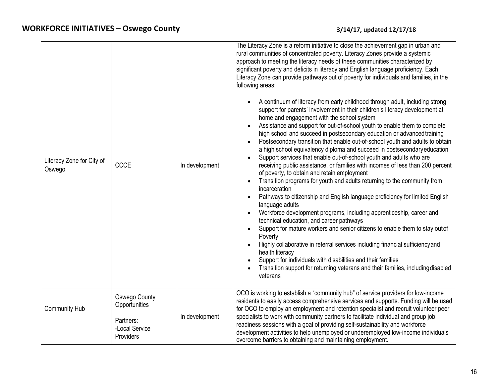| Literacy Zone for City of<br>Oswego | <b>CCCE</b>                                                                | In development | The Literacy Zone is a reform initiative to close the achievement gap in urban and<br>rural communities of concentrated poverty. Literacy Zones provide a systemic<br>approach to meeting the literacy needs of these communities characterized by<br>significant poverty and deficits in literacy and English language proficiency. Each<br>Literacy Zone can provide pathways out of poverty for individuals and families, in the<br>following areas:<br>A continuum of literacy from early childhood through adult, including strong<br>support for parents' involvement in their children's literacy development at<br>home and engagement with the school system<br>Assistance and support for out-of-school youth to enable them to complete<br>$\bullet$<br>high school and succeed in postsecondary education or advanced training<br>Postsecondary transition that enable out-of-school youth and adults to obtain<br>a high school equivalency diploma and succeed in postsecondary education<br>Support services that enable out-of-school youth and adults who are<br>receiving public assistance, or families with incomes of less than 200 percent<br>of poverty, to obtain and retain employment<br>Transition programs for youth and adults returning to the community from<br>incarceration<br>Pathways to citizenship and English language proficiency for limited English<br>language adults<br>Workforce development programs, including apprenticeship, career and<br>technical education, and career pathways<br>Support for mature workers and senior citizens to enable them to stay out of<br>$\bullet$<br>Poverty<br>Highly collaborative in referral services including financial sufficiency and<br>$\bullet$<br>health literacy<br>Support for individuals with disabilities and their families<br>$\bullet$<br>Transition support for returning veterans and their families, including disabled<br>veterans |
|-------------------------------------|----------------------------------------------------------------------------|----------------|-------------------------------------------------------------------------------------------------------------------------------------------------------------------------------------------------------------------------------------------------------------------------------------------------------------------------------------------------------------------------------------------------------------------------------------------------------------------------------------------------------------------------------------------------------------------------------------------------------------------------------------------------------------------------------------------------------------------------------------------------------------------------------------------------------------------------------------------------------------------------------------------------------------------------------------------------------------------------------------------------------------------------------------------------------------------------------------------------------------------------------------------------------------------------------------------------------------------------------------------------------------------------------------------------------------------------------------------------------------------------------------------------------------------------------------------------------------------------------------------------------------------------------------------------------------------------------------------------------------------------------------------------------------------------------------------------------------------------------------------------------------------------------------------------------------------------------------------------------------------------------------------------------------------------------------------|
| <b>Community Hub</b>                | Oswego County<br>Opportunities<br>Partners:<br>-Local Service<br>Providers | In development | OCO is working to establish a "community hub" of service providers for low-income<br>residents to easily access comprehensive services and supports. Funding will be used<br>for OCO to employ an employment and retention specialist and recruit volunteer peer<br>specialists to work with community partners to facilitate individual and group job<br>readiness sessions with a goal of providing self-sustainability and workforce<br>development activities to help unemployed or underemployed low-income individuals<br>overcome barriers to obtaining and maintaining employment.                                                                                                                                                                                                                                                                                                                                                                                                                                                                                                                                                                                                                                                                                                                                                                                                                                                                                                                                                                                                                                                                                                                                                                                                                                                                                                                                                |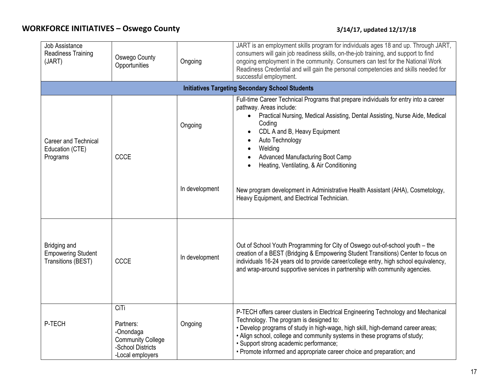| Job Assistance<br><b>Readiness Training</b><br>(JART)           | <b>Oswego County</b><br>Opportunities                                                               | Ongoing        | JART is an employment skills program for individuals ages 18 and up. Through JART,<br>consumers will gain job readiness skills, on-the-job training, and support to find<br>ongoing employment in the community. Consumers can test for the National Work<br>Readiness Credential and will gain the personal competencies and skills needed for<br>successful employment.                                       |  |
|-----------------------------------------------------------------|-----------------------------------------------------------------------------------------------------|----------------|-----------------------------------------------------------------------------------------------------------------------------------------------------------------------------------------------------------------------------------------------------------------------------------------------------------------------------------------------------------------------------------------------------------------|--|
|                                                                 | <b>Initiatives Targeting Secondary School Students</b>                                              |                |                                                                                                                                                                                                                                                                                                                                                                                                                 |  |
| <b>Career and Technical</b><br>Education (CTE)<br>Programs      | CCCE                                                                                                | Ongoing        | Full-time Career Technical Programs that prepare individuals for entry into a career<br>pathway. Areas include:<br>Practical Nursing, Medical Assisting, Dental Assisting, Nurse Aide, Medical<br>$\bullet$<br>Coding<br>CDL A and B, Heavy Equipment<br>$\bullet$<br>Auto Technology<br>$\bullet$<br>Welding<br>$\bullet$<br>Advanced Manufacturing Boot Camp<br>Heating, Ventilating, & Air Conditioning      |  |
|                                                                 |                                                                                                     | In development | New program development in Administrative Health Assistant (AHA), Cosmetology,<br>Heavy Equipment, and Electrical Technician.                                                                                                                                                                                                                                                                                   |  |
| Bridging and<br><b>Empowering Student</b><br>Transitions (BEST) | <b>CCCE</b>                                                                                         | In development | Out of School Youth Programming for City of Oswego out-of-school youth - the<br>creation of a BEST (Bridging & Empowering Student Transitions) Center to focus on<br>individuals 16-24 years old to provide career/college entry, high school equivalency,<br>and wrap-around supportive services in partnership with community agencies.                                                                       |  |
| P-TECH                                                          | CiTi<br>Partners:<br>-Onondaga<br><b>Community College</b><br>-School Districts<br>-Local employers | Ongoing        | P-TECH offers career clusters in Electrical Engineering Technology and Mechanical<br>Technology. The program is designed to:<br>• Develop programs of study in high-wage, high skill, high-demand career areas;<br>• Align school, college and community systems in these programs of study;<br>· Support strong academic performance;<br>• Promote informed and appropriate career choice and preparation; and |  |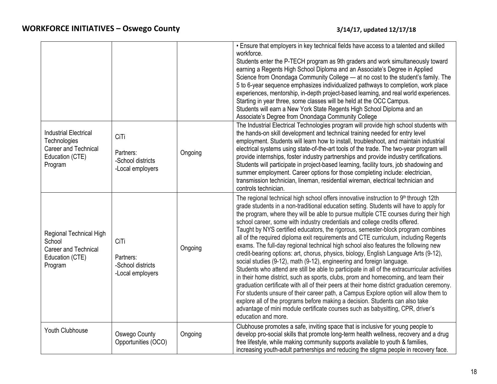|                                                                                                    |                                                            |         | • Ensure that employers in key technical fields have access to a talented and skilled<br>workforce.<br>Students enter the P-TECH program as 9th graders and work simultaneously toward<br>earning a Regents High School Diploma and an Associate's Degree in Applied<br>Science from Onondaga Community College - at no cost to the student's family. The<br>5 to 6-year sequence emphasizes individualized pathways to completion, work place<br>experiences, mentorship, in-depth project-based learning, and real world experiences.<br>Starting in year three, some classes will be held at the OCC Campus.<br>Students will earn a New York State Regents High School Diploma and an<br>Associate's Degree from Onondaga Community College                                                                                                                                                                                                                                                                                                                                                                                                                                                                                                                                                                                                                 |
|----------------------------------------------------------------------------------------------------|------------------------------------------------------------|---------|-----------------------------------------------------------------------------------------------------------------------------------------------------------------------------------------------------------------------------------------------------------------------------------------------------------------------------------------------------------------------------------------------------------------------------------------------------------------------------------------------------------------------------------------------------------------------------------------------------------------------------------------------------------------------------------------------------------------------------------------------------------------------------------------------------------------------------------------------------------------------------------------------------------------------------------------------------------------------------------------------------------------------------------------------------------------------------------------------------------------------------------------------------------------------------------------------------------------------------------------------------------------------------------------------------------------------------------------------------------------|
| <b>Industrial Electrical</b><br>Technologies<br>Career and Technical<br>Education (CTE)<br>Program | CiTi<br>Partners:<br>-School districts<br>-Local employers | Ongoing | The Industrial Electrical Technologies program will provide high school students with<br>the hands-on skill development and technical training needed for entry level<br>employment. Students will learn how to install, troubleshoot, and maintain industrial<br>electrical systems using state-of-the-art tools of the trade. The two-year program will<br>provide internships, foster industry partnerships and provide industry certifications.<br>Students will participate in project-based learning, facility tours, job shadowing and<br>summer employment. Career options for those completing include: electrician,<br>transmission technician, lineman, residential wireman, electrical technician and<br>controls technician.                                                                                                                                                                                                                                                                                                                                                                                                                                                                                                                                                                                                                       |
| Regional Technical High<br>School<br>Career and Technical<br>Education (CTE)<br>Program            | CiTi<br>Partners:<br>-School districts<br>-Local employers | Ongoing | The regional technical high school offers innovative instruction to 9th through 12th<br>grade students in a non-traditional education setting. Students will have to apply for<br>the program, where they will be able to pursue multiple CTE courses during their high<br>school career, some with industry credentials and college credits offered.<br>Taught by NYS certified educators, the rigorous, semester-block program combines<br>all of the required diploma exit requirements and CTE curriculum, including Regents<br>exams. The full-day regional technical high school also features the following new<br>credit-bearing options: art, chorus, physics, biology, English Language Arts (9-12),<br>social studies (9-12), math (9-12), engineering and foreign language.<br>Students who attend are still be able to participate in all of the extracurricular activities<br>in their home district, such as sports, clubs, prom and homecoming, and tearn their<br>graduation certificate with all of their peers at their home district graduation ceremony.<br>For students unsure of their career path, a Campus Explore option will allow them to<br>explore all of the programs before making a decision. Students can also take<br>advantage of mini module certificate courses such as babysitting, CPR, driver's<br>education and more. |
| Youth Clubhouse                                                                                    | <b>Oswego County</b><br>Opportunities (OCO)                | Ongoing | Clubhouse promotes a safe, inviting space that is inclusive for young people to<br>develop pro-social skills that promote long-term health wellness, recovery and a drug<br>free lifestyle, while making community supports available to youth & families,<br>increasing youth-adult partnerships and reducing the stigma people in recovery face.                                                                                                                                                                                                                                                                                                                                                                                                                                                                                                                                                                                                                                                                                                                                                                                                                                                                                                                                                                                                              |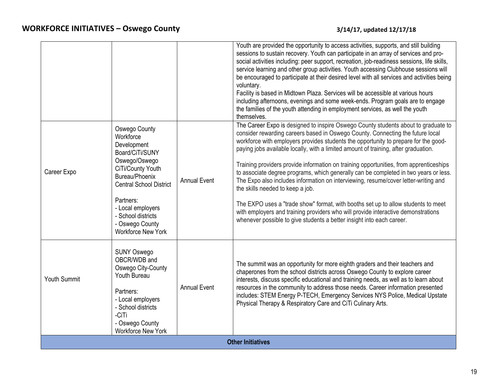|                          |                                                                                                                                                                                                                                                                |                     | Youth are provided the opportunity to access activities, supports, and still building<br>sessions to sustain recovery. Youth can participate in an array of services and pro-<br>social activities including: peer support, recreation, job-readiness sessions, life skills,<br>service learning and other group activities. Youth accessing Clubhouse sessions will<br>be encouraged to participate at their desired level with all services and activities being<br>voluntary.<br>Facility is based in Midtown Plaza. Services will be accessible at various hours<br>including afternoons, evenings and some week-ends. Program goals are to engage<br>the families of the youth attending in employment services, as well the youth<br>themselves.                                                                                                                                                             |
|--------------------------|----------------------------------------------------------------------------------------------------------------------------------------------------------------------------------------------------------------------------------------------------------------|---------------------|--------------------------------------------------------------------------------------------------------------------------------------------------------------------------------------------------------------------------------------------------------------------------------------------------------------------------------------------------------------------------------------------------------------------------------------------------------------------------------------------------------------------------------------------------------------------------------------------------------------------------------------------------------------------------------------------------------------------------------------------------------------------------------------------------------------------------------------------------------------------------------------------------------------------|
| Career Expo              | Oswego County<br>Workforce<br>Development<br>Board/CiTi/SUNY<br>Oswego/Oswego<br>CiTi/County Youth<br>Bureau/Phoenix<br><b>Central School District</b><br>Partners:<br>- Local employers<br>- School districts<br>- Oswego County<br><b>Workforce New York</b> | <b>Annual Event</b> | The Career Expo is designed to inspire Oswego County students about to graduate to<br>consider rewarding careers based in Oswego County. Connecting the future local<br>workforce with employers provides students the opportunity to prepare for the good-<br>paying jobs available locally, with a limited amount of training, after graduation.<br>Training providers provide information on training opportunities, from apprenticeships<br>to associate degree programs, which generally can be completed in two years or less.<br>The Expo also includes information on interviewing, resume/cover letter-writing and<br>the skills needed to keep a job.<br>The EXPO uses a "trade show" format, with booths set up to allow students to meet<br>with employers and training providers who will provide interactive demonstrations<br>whenever possible to give students a better insight into each career. |
| Youth Summit             | <b>SUNY Oswego</b><br>OBCR/WDB and<br>Oswego City-County<br>Youth Bureau<br>Partners:<br>- Local employers<br>- School districts<br>-CiTi<br>- Oswego County<br><b>Workforce New York</b>                                                                      | <b>Annual Event</b> | The summit was an opportunity for more eighth graders and their teachers and<br>chaperones from the school districts across Oswego County to explore career<br>interests, discuss specific educational and training needs, as well as to learn about<br>resources in the community to address those needs. Career information presented<br>includes: STEM Energy P-TECH, Emergency Services NYS Police, Medical Upstate<br>Physical Therapy & Respiratory Care and CiTi Culinary Arts.                                                                                                                                                                                                                                                                                                                                                                                                                             |
| <b>Other Initiatives</b> |                                                                                                                                                                                                                                                                |                     |                                                                                                                                                                                                                                                                                                                                                                                                                                                                                                                                                                                                                                                                                                                                                                                                                                                                                                                    |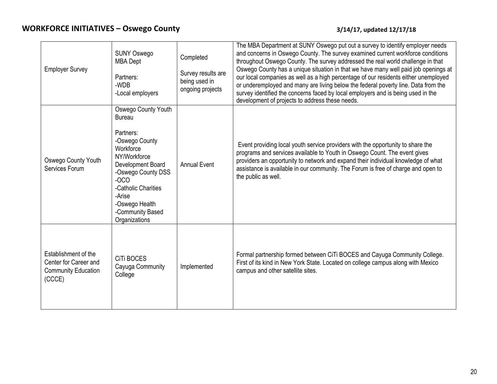## **Oswego County 3/14/17, updated 12/17/18**

| <b>Employer Survey</b>                                                                | <b>SUNY Oswego</b><br><b>MBA</b> Dept<br>Partners:<br>-WDB<br>-Local employers                                                                                                                                                                | Completed<br>Survey results are<br>being used in<br>ongoing projects | The MBA Department at SUNY Oswego put out a survey to identify employer needs<br>and concerns in Oswego County. The survey examined current workforce conditions<br>throughout Oswego County. The survey addressed the real world challenge in that<br>Oswego County has a unique situation in that we have many well paid job openings at<br>our local companies as well as a high percentage of our residents either unemployed<br>or underemployed and many are living below the federal poverty line. Data from the<br>survey identified the concerns faced by local employers and is being used in the<br>development of projects to address these needs. |
|---------------------------------------------------------------------------------------|-----------------------------------------------------------------------------------------------------------------------------------------------------------------------------------------------------------------------------------------------|----------------------------------------------------------------------|----------------------------------------------------------------------------------------------------------------------------------------------------------------------------------------------------------------------------------------------------------------------------------------------------------------------------------------------------------------------------------------------------------------------------------------------------------------------------------------------------------------------------------------------------------------------------------------------------------------------------------------------------------------|
| Oswego County Youth<br>Services Forum                                                 | Oswego County Youth<br><b>Bureau</b><br>Partners:<br>-Oswego County<br>Workforce<br>NY/Workforce<br>Development Board<br>-Oswego County DSS<br>$-0CO$<br>-Catholic Charities<br>-Arise<br>-Oswego Health<br>-Community Based<br>Organizations | <b>Annual Event</b>                                                  | Event providing local youth service providers with the opportunity to share the<br>programs and services available to Youth in Oswego Count. The event gives<br>providers an opportunity to network and expand their individual knowledge of what<br>assistance is available in our community. The Forum is free of charge and open to<br>the public as well.                                                                                                                                                                                                                                                                                                  |
| Establishment of the<br>Center for Career and<br><b>Community Education</b><br>(CCCE) | <b>CiTi BOCES</b><br>Cayuga Community<br>College                                                                                                                                                                                              | Implemented                                                          | Formal partnership formed between CiTi BOCES and Cayuga Community College.<br>First of its kind in New York State. Located on college campus along with Mexico<br>campus and other satellite sites.                                                                                                                                                                                                                                                                                                                                                                                                                                                            |